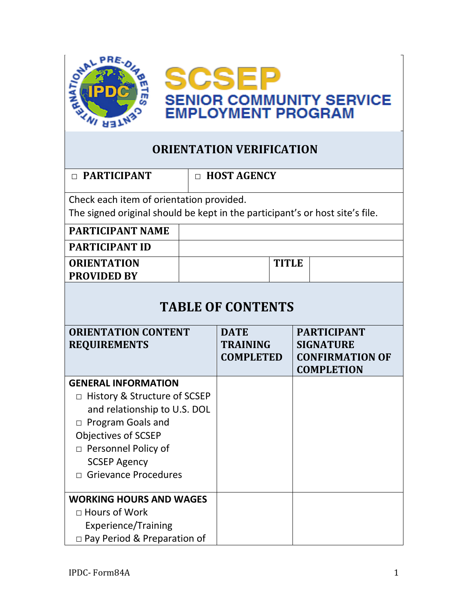

## **ORIENTATION VERIFICATION**

| $\Box$ PARTICIPANT                                                           |  | $\Box$ HOST AGENCY                                 |              |  |                                                                                       |  |
|------------------------------------------------------------------------------|--|----------------------------------------------------|--------------|--|---------------------------------------------------------------------------------------|--|
| Check each item of orientation provided.                                     |  |                                                    |              |  |                                                                                       |  |
| The signed original should be kept in the participant's or host site's file. |  |                                                    |              |  |                                                                                       |  |
| <b>PARTICIPANT NAME</b>                                                      |  |                                                    |              |  |                                                                                       |  |
| <b>PARTICIPANT ID</b>                                                        |  |                                                    |              |  |                                                                                       |  |
| <b>ORIENTATION</b>                                                           |  |                                                    | <b>TITLE</b> |  |                                                                                       |  |
| <b>PROVIDED BY</b>                                                           |  |                                                    |              |  |                                                                                       |  |
| <b>TABLE OF CONTENTS</b>                                                     |  |                                                    |              |  |                                                                                       |  |
| <b>ORIENTATION CONTENT</b><br><b>REQUIREMENTS</b>                            |  | <b>DATE</b><br><b>TRAINING</b><br><b>COMPLETED</b> |              |  | <b>PARTICIPANT</b><br><b>SIGNATURE</b><br><b>CONFIRMATION OF</b><br><b>COMPLETION</b> |  |
| <b>GENERAL INFORMATION</b>                                                   |  |                                                    |              |  |                                                                                       |  |
| □ History & Structure of SCSEP                                               |  |                                                    |              |  |                                                                                       |  |
| and relationship to U.S. DOL                                                 |  |                                                    |              |  |                                                                                       |  |
| $\Box$ Program Goals and                                                     |  |                                                    |              |  |                                                                                       |  |
| Objectives of SCSEP                                                          |  |                                                    |              |  |                                                                                       |  |
| □ Personnel Policy of                                                        |  |                                                    |              |  |                                                                                       |  |
| <b>SCSEP Agency</b>                                                          |  |                                                    |              |  |                                                                                       |  |
| <b>Grievance Procedures</b><br>$\Box$                                        |  |                                                    |              |  |                                                                                       |  |
| <b>WORKING HOURS AND WAGES</b>                                               |  |                                                    |              |  |                                                                                       |  |
| $\Box$ Hours of Work                                                         |  |                                                    |              |  |                                                                                       |  |
| <b>Experience/Training</b>                                                   |  |                                                    |              |  |                                                                                       |  |
| $\Box$ Pay Period & Preparation of                                           |  |                                                    |              |  |                                                                                       |  |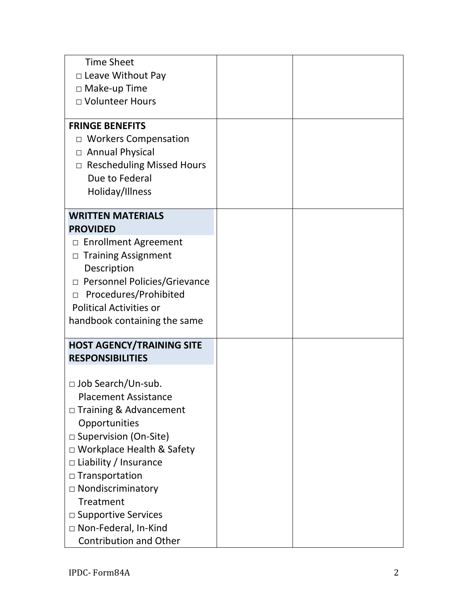| <b>Time Sheet</b><br>$\Box$ Leave Without Pay<br>$\Box$ Make-up Time<br>□ Volunteer Hours<br><b>FRINGE BENEFITS</b>                                                                                                                                                                                                                                                                      |  |
|------------------------------------------------------------------------------------------------------------------------------------------------------------------------------------------------------------------------------------------------------------------------------------------------------------------------------------------------------------------------------------------|--|
| <b>Workers Compensation</b><br>$\Box$<br>□ Annual Physical<br>$\Box$ Rescheduling Missed Hours<br>Due to Federal<br>Holiday/Illness                                                                                                                                                                                                                                                      |  |
| <b>WRITTEN MATERIALS</b>                                                                                                                                                                                                                                                                                                                                                                 |  |
| <b>PROVIDED</b><br><b>Enrollment Agreement</b><br>$\Box$<br><b>Training Assignment</b><br>$\Box$<br>Description<br>$\Box$ Personnel Policies/Grievance<br>Procedures/Prohibited<br>$\Box$<br><b>Political Activities or</b><br>handbook containing the same                                                                                                                              |  |
| <b>HOST AGENCY/TRAINING SITE</b>                                                                                                                                                                                                                                                                                                                                                         |  |
| <b>RESPONSIBILITIES</b><br>$\Box$ Job Search/Un-sub.<br><b>Placement Assistance</b><br>□ Training & Advancement<br>Opportunities<br>□ Supervision (On-Site)<br>$\Box$ Workplace Health & Safety<br>$\Box$ Liability / Insurance<br>$\Box$ Transportation<br>□ Nondiscriminatory<br>Treatment<br>$\square$ Supportive Services<br>□ Non-Federal, In-Kind<br><b>Contribution and Other</b> |  |